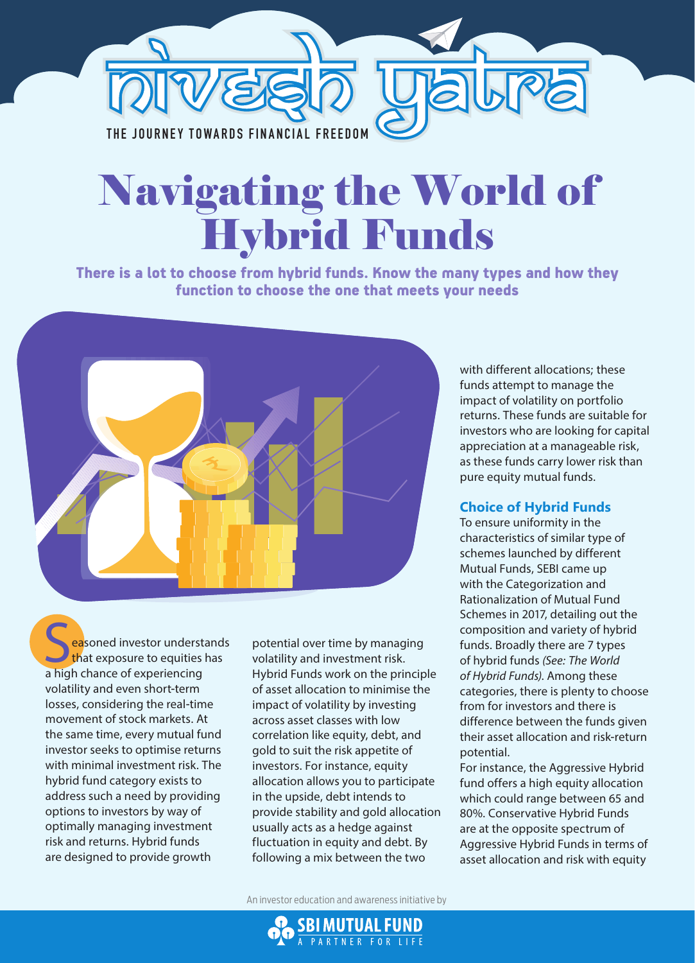

# Navigating the World of Hybrid Funds

There is a lot to choose from hybrid funds. Know the many types and how they function to choose the one that meets your needs



easoned investor understands that exposure to equities has a high chance of experiencing volatility and even short-term losses, considering the real-time movement of stock markets. At the same time, every mutual fund investor seeks to optimise returns with minimal investment risk. The hybrid fund category exists to address such a need by providing options to investors by way of optimally managing investment risk and returns. Hybrid funds are designed to provide growth

potential over time by managing volatility and investment risk. Hybrid Funds work on the principle of asset allocation to minimise the impact of volatility by investing across asset classes with low correlation like equity, debt, and gold to suit the risk appetite of investors. For instance, equity allocation allows you to participate in the upside, debt intends to provide stability and gold allocation usually acts as a hedge against fluctuation in equity and debt. By following a mix between the two

with different allocations; these funds attempt to manage the impact of volatility on portfolio returns. These funds are suitable for investors who are looking for capital appreciation at a manageable risk, as these funds carry lower risk than pure equity mutual funds.

## **Choice of Hybrid Funds**

To ensure uniformity in the characteristics of similar type of schemes launched by different Mutual Funds, SEBI came up with the Categorization and Rationalization of Mutual Fund Schemes in 2017, detailing out the composition and variety of hybrid funds. Broadly there are 7 types of hybrid funds *(See: The World of Hybrid Funds)*. Among these categories, there is plenty to choose from for investors and there is difference between the funds given their asset allocation and risk-return potential.

For instance, the Aggressive Hybrid fund offers a high equity allocation which could range between 65 and 80%. Conservative Hybrid Funds are at the opposite spectrum of Aggressive Hybrid Funds in terms of asset allocation and risk with equity

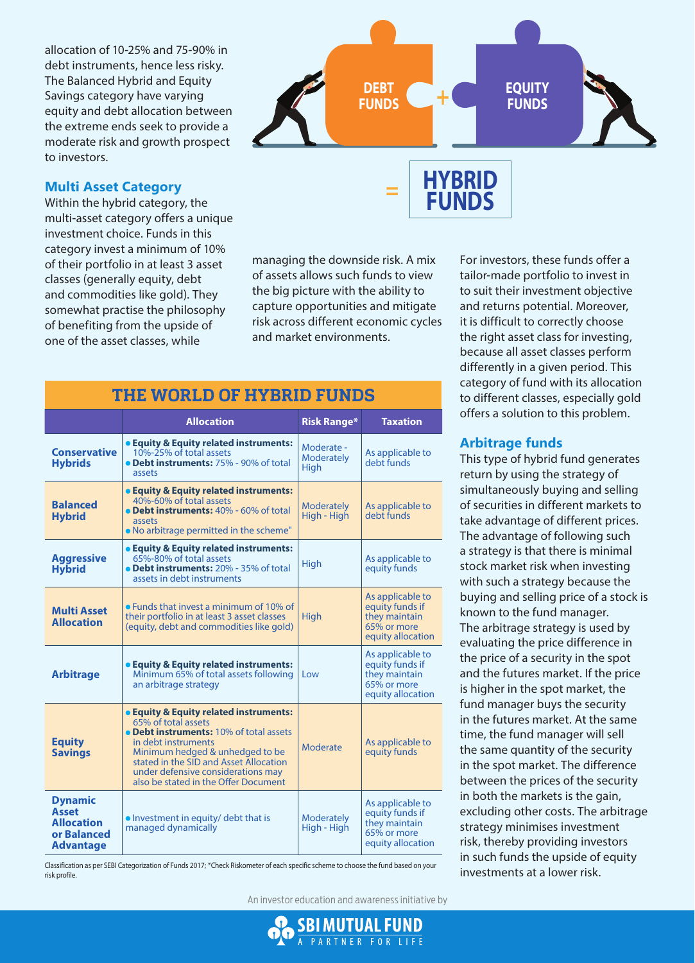allocation of 10-25% and 75-90% in debt instruments, hence less risky. The Balanced Hybrid and Equity Savings category have varying equity and debt allocation between the extreme ends seek to provide a moderate risk and growth prospect to investors.

### **Multi Asset Category**

Within the hybrid category, the multi-asset category offers a unique investment choice. Funds in this category invest a minimum of 10% of their portfolio in at least 3 asset classes (generally equity, debt and commodities like gold). They somewhat practise the philosophy of benefiting from the upside of one of the asset classes, while



**FUNDS**

managing the downside risk. A mix of assets allows such funds to view the big picture with the ability to capture opportunities and mitigate risk across different economic cycles and market environments.

| <b>THE WORLD OF HYBRID FUNDS</b>                                                       |                                                                                                                                                                                                                                                                                            |                                         |                                                                                          |  |
|----------------------------------------------------------------------------------------|--------------------------------------------------------------------------------------------------------------------------------------------------------------------------------------------------------------------------------------------------------------------------------------------|-----------------------------------------|------------------------------------------------------------------------------------------|--|
|                                                                                        | <b>Allocation</b>                                                                                                                                                                                                                                                                          | <b>Risk Range*</b>                      | <b>Taxation</b>                                                                          |  |
| <b>Conservative</b><br><b>Hybrids</b>                                                  | • Equity & Equity related instruments:<br>10%-25% of total assets<br>• Debt instruments: 75% - 90% of total<br>assets                                                                                                                                                                      | Moderate -<br><b>Moderately</b><br>High | As applicable to<br>debt funds                                                           |  |
| <b>Balanced</b><br><b>Hybrid</b>                                                       | • Equity & Equity related instruments:<br>40%-60% of total assets<br>• Debt instruments: 40% - 60% of total<br>assets<br>. No arbitrage permitted in the scheme"                                                                                                                           | <b>Moderately</b><br>High - High        | As applicable to<br>debt funds                                                           |  |
| <b>Aggressive</b><br><b>Hybrid</b>                                                     | • Equity & Equity related instruments:<br>65%-80% of total assets<br>• Debt instruments: 20% - 35% of total<br>assets in debt instruments                                                                                                                                                  | High                                    | As applicable to<br>equity funds                                                         |  |
| <b>Multi Asset</b><br><b>Allocation</b>                                                | • Funds that invest a minimum of 10% of<br>their portfolio in at least 3 asset classes<br>(equity, debt and commodities like gold)                                                                                                                                                         | High                                    | As applicable to<br>equity funds if<br>they maintain<br>65% or more<br>equity allocation |  |
| <b>Arbitrage</b>                                                                       | • Equity & Equity related instruments:<br>Minimum 65% of total assets following<br>an arbitrage strategy                                                                                                                                                                                   | Low                                     | As applicable to<br>equity funds if<br>they maintain<br>65% or more<br>equity allocation |  |
| <b>Equity</b><br><b>Savings</b>                                                        | • Equity & Equity related instruments:<br>65% of total assets<br>• Debt instruments: 10% of total assets<br>in debt instruments<br>Minimum hedged & unhedged to be<br>stated in the SID and Asset Allocation<br>under defensive considerations may<br>also be stated in the Offer Document | Moderate                                | As applicable to<br>equity funds                                                         |  |
| <b>Dynamic</b><br><b>Asset</b><br><b>Allocation</b><br>or Balanced<br><b>Advantage</b> | • Investment in equity/ debt that is<br>managed dynamically                                                                                                                                                                                                                                | <b>Moderately</b><br>High - High        | As applicable to<br>equity funds if<br>they maintain<br>65% or more<br>equity allocation |  |

Classification as per SEBI Categorization of Funds 2017; \*Check Riskometer of each specific scheme to choose the fund based on your risk profile.

An investor education and awareness initiative by



category of fund with its allocation to different classes, especially gold offers a solution to this problem.

For investors, these funds offer a tailor-made portfolio to invest in to suit their investment objective and returns potential. Moreover,

#### **Arbitrage funds**

This type of hybrid fund generates return by using the strategy of simultaneously buying and selling of securities in different markets to take advantage of different prices. The advantage of following such a strategy is that there is minimal stock market risk when investing with such a strategy because the buying and selling price of a stock is known to the fund manager. The arbitrage strategy is used by evaluating the price difference in the price of a security in the spot and the futures market. If the price is higher in the spot market, the fund manager buys the security in the futures market. At the same time, the fund manager will sell the same quantity of the security in the spot market. The difference between the prices of the security in both the markets is the gain, excluding other costs. The arbitrage strategy minimises investment risk, thereby providing investors in such funds the upside of equity investments at a lower risk.

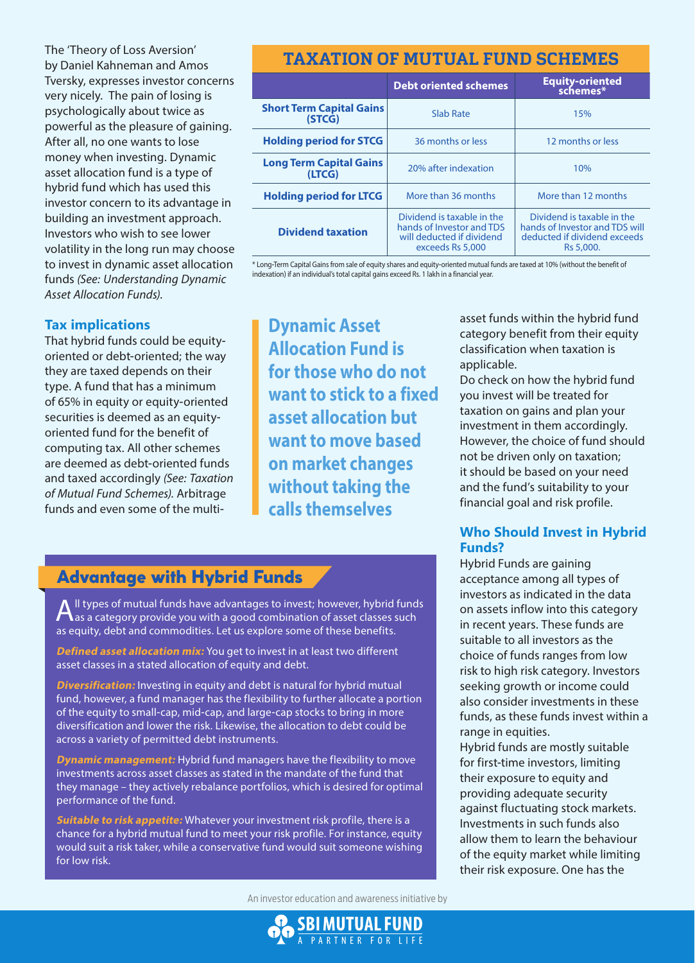The 'Theory of Loss Aversion' by Daniel Kahneman and Amos Tversky, expresses investor concerns very nicely. The pain of losing is psychologically about twice as powerful as the pleasure of gaining. After all, no one wants to lose money when investing. Dynamic asset allocation fund is a type of hybrid fund which has used this investor concern to its advantage in building an investment approach. Investors who wish to see lower volatility in the long run may choose to invest in dynamic asset allocation funds *(See: Understanding Dynamic Asset Allocation Funds)*.

## **Tax implications**

That hybrid funds could be equityoriented or debt-oriented; the way they are taxed depends on their type. A fund that has a minimum of 65% in equity or equity-oriented securities is deemed as an equityoriented fund for the benefit of computing tax. All other schemes are deemed as debt-oriented funds and taxed accordingly *(See: Taxation of Mutual Fund Schemes)*. Arbitrage funds and even some of the multi-

## **TAXATION OF MUTUAL FUND SCHEMES**

|                                           | <b>Debt oriented schemes</b>                                                                             | Equity-oriented<br>schemes*                                                                               |  |
|-------------------------------------------|----------------------------------------------------------------------------------------------------------|-----------------------------------------------------------------------------------------------------------|--|
| <b>Short Term Capital Gains</b><br>(STCG) | Slab Rate                                                                                                | 15%                                                                                                       |  |
| <b>Holding period for STCG</b>            | 36 months or less                                                                                        | 12 months or less                                                                                         |  |
| <b>Long Term Capital Gains</b><br>(LTCG)  | 20% after indexation                                                                                     | 10%                                                                                                       |  |
| <b>Holding period for LTCG</b>            | More than 36 months                                                                                      | More than 12 months                                                                                       |  |
| <b>Dividend taxation</b>                  | Dividend is taxable in the<br>hands of Investor and TDS<br>will deducted if dividend<br>exceeds Rs 5,000 | Dividend is taxable in the<br>hands of Investor and TDS will<br>deducted if dividend exceeds<br>Rs 5,000. |  |

\* Long-Term Capital Gains from sale of equity shares and equity-oriented mutual funds are taxed at 10% (without the benefit of indexation) if an individual's total capital gains exceed Rs. 1 lakh in a financial year.

**Dynamic Asset Allocation Fund is for those who do not want to stick to a fixed asset allocation but want to move based on market changes without taking the calls themselves**

## category benefit from their equity classification when taxation is applicable. Do check on how the hybrid fund

asset funds within the hybrid fund

you invest will be treated for taxation on gains and plan your investment in them accordingly. However, the choice of fund should not be driven only on taxation; it should be based on your need and the fund's suitability to your financial goal and risk profile.

## **Who Should Invest in Hybrid Funds?**

Hybrid Funds are gaining acceptance among all types of investors as indicated in the data on assets inflow into this category in recent years. These funds are suitable to all investors as the choice of funds ranges from low risk to high risk category. Investors seeking growth or income could also consider investments in these funds, as these funds invest within a range in equities.

Hybrid funds are mostly suitable for first-time investors, limiting their exposure to equity and providing adequate security against fluctuating stock markets. Investments in such funds also allow them to learn the behaviour of the equity market while limiting their risk exposure. One has the

## Advantage with Hybrid Funds

All types of mutual funds have advantages to invest; however, hybrid funds<br>A as a category provide you with a good combination of asset classes such as equity, debt and commodities. Let us explore some of these benefits.

**Defined asset allocation mix:** You get to invest in at least two different asset classes in a stated allocation of equity and debt.

**Diversification:** Investing in equity and debt is natural for hybrid mutual fund, however, a fund manager has the flexibility to further allocate a portion of the equity to small-cap, mid-cap, and large-cap stocks to bring in more diversification and lower the risk. Likewise, the allocation to debt could be across a variety of permitted debt instruments.

**Dynamic management:** Hybrid fund managers have the flexibility to move investments across asset classes as stated in the mandate of the fund that they manage – they actively rebalance portfolios, which is desired for optimal performance of the fund.

**Suitable to risk appetite:** Whatever your investment risk profile, there is a chance for a hybrid mutual fund to meet your risk profile. For instance, equity would suit a risk taker, while a conservative fund would suit someone wishing for low risk.

An investor education and awareness initiative by